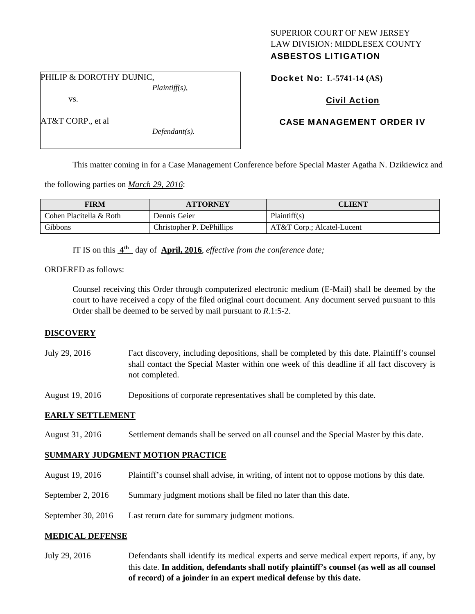# SUPERIOR COURT OF NEW JERSEY LAW DIVISION: MIDDLESEX COUNTY ASBESTOS LITIGATION

Docket No: **L-5741-14 (AS)** 

PHILIP & DOROTHY DUJNIC,

vs.

AT&T CORP., et al

*Plaintiff(s),* 

*Defendant(s).* 

# Civil Action

# CASE MANAGEMENT ORDER IV

This matter coming in for a Case Management Conference before Special Master Agatha N. Dzikiewicz and

the following parties on *March 29, 2016*:

| <b>FIRM</b>             | <b>ATTORNEY</b>           | CLIENT                     |
|-------------------------|---------------------------|----------------------------|
| Cohen Placitella & Roth | Dennis Geier              | Plaintiff(s)               |
| Gibbons                 | Christopher P. DePhillips | AT&T Corp.; Alcatel-Lucent |

IT IS on this **4th** day of **April, 2016**, *effective from the conference date;*

ORDERED as follows:

Counsel receiving this Order through computerized electronic medium (E-Mail) shall be deemed by the court to have received a copy of the filed original court document. Any document served pursuant to this Order shall be deemed to be served by mail pursuant to *R*.1:5-2.

### **DISCOVERY**

July 29, 2016 Fact discovery, including depositions, shall be completed by this date. Plaintiff's counsel shall contact the Special Master within one week of this deadline if all fact discovery is not completed.

August 19, 2016 Depositions of corporate representatives shall be completed by this date.

### **EARLY SETTLEMENT**

August 31, 2016 Settlement demands shall be served on all counsel and the Special Master by this date.

### **SUMMARY JUDGMENT MOTION PRACTICE**

- August 19, 2016 Plaintiff's counsel shall advise, in writing, of intent not to oppose motions by this date.
- September 2, 2016 Summary judgment motions shall be filed no later than this date.
- September 30, 2016 Last return date for summary judgment motions.

### **MEDICAL DEFENSE**

July 29, 2016 Defendants shall identify its medical experts and serve medical expert reports, if any, by this date. **In addition, defendants shall notify plaintiff's counsel (as well as all counsel of record) of a joinder in an expert medical defense by this date.**